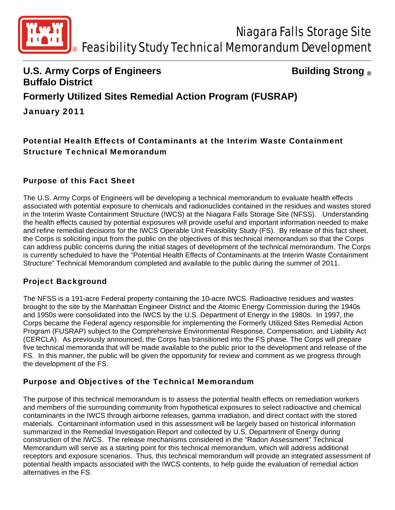

# **U.S. Army Corps of Engineers Constrained Building Strong ® Buffalo District Formerly Utilized Sites Remedial Action Program (FUSRAP)**  January 2011

## Potential Health Effects of Contaminants at the Interim Waste Containment Structure Technical Memorandum

#### Purpose of this Fact Sheet

The U.S. Army Corps of Engineers will be developing a technical memorandum to evaluate health effects associated with potential exposure to chemicals and radionuclides contained in the residues and wastes stored in the Interim Waste Containment Structure (IWCS) at the Niagara Falls Storage Site (NFSS). Understanding the health effects caused by potential exposures will provide useful and important information needed to make and refine remedial decisions for the IWCS Operable Unit Feasibility Study (FS). By release of this fact sheet, the Corps is soliciting input from the public on the objectives of this technical memorandum so that the Corps can address public concerns during the initial stages of development of the technical memorandum. The Corps is currently scheduled to have the "Potential Health Effects of Contaminants at the Interim Waste Containment Structure" Technical Memorandum completed and available to the public during the summer of 2011.

#### Project Background

The NFSS is a 191-acre Federal property containing the 10-acre IWCS. Radioactive residues and wastes brought to the site by the Manhattan Engineer District and the Atomic Energy Commission during the 1940s and 1950s were consolidated into the IWCS by the U.S. Department of Energy in the 1980s. In 1997, the Corps became the Federal agency responsible for implementing the Formerly Utilized Sites Remedial Action Program (FUSRAP) subject to the Comprehensive Environmental Response, Compensation, and Liability Act (CERCLA). As previously announced, the Corps has transitioned into the FS phase. The Corps will prepare five technical memoranda that will be made available to the public prior to the development and release of the FS. In this manner, the public will be given the opportunity for review and comment as we progress through the development of the FS.

#### Purpose and Objectives of the Technical Memorandum

The purpose of this technical memorandum is to assess the potential health effects on remediation workers and members of the surrounding community from hypothetical exposures to select radioactive and chemical contaminants in the IWCS through airborne releases, gamma irradiation, and direct contact with the stored materials. Contaminant information used in this assessment will be largely based on historical information summarized in the Remedial Investigation Report and collected by U.S. Department of Energy during construction of the IWCS. The release mechanisms considered in the "Radon Assessment" Technical Memorandum will serve as a starting point for this technical memorandum, which will address additional receptors and exposure scenarios. Thus, this technical memorandum will provide an integrated assessment of potential health impacts associated with the IWCS contents, to help guide the evaluation of remedial action alternatives in the FS.